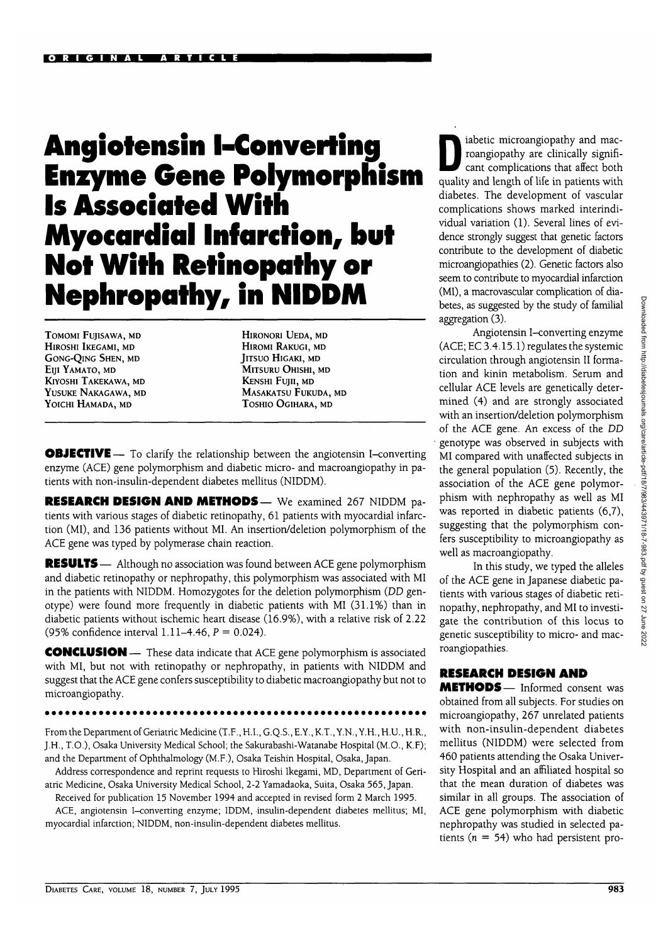# Angiotensin I-Converting Enzyme Gene Polymorphism Is Associated With Myocardial Infarction, but Not With Retinopathy or Nephropathy, in **NIDDM**

**TOMOMI FUJISAWA, MD HlROSHI IKEGAMI, MD GONG-QlNG SHEN, MD Eljl YAMATO, MD KlYOSHI TAKEKAWA, MD YUSUKE NAKAGAWA, MD YOICHI HAMADA, MD**

**HlRONORI UEDA, MD HlROMI RAKUGI, MD JlTSUO HlGAKI, MD MlTSURU OHISHI, MD** KENSHI FUJII, MD MASAKATSU FUKUDA, MD TOSHIO OGIHARA, MD

**OBJECTIVE** — To clarify the relationship between the angiotensin I-converting enzyme (ACE) gene polymorphism and diabetic micro- and macroangiopathy in patients with non-insulin-dependent diabetes mellitus (NIDDM).

RESEARCH DESIGN AND METHODS — We examined 267 NIDDM patients with various stages of diabetic retinopathy, 61 patients with myocardial infarction (MI), and 136 patients without MI. An insertion/deletion polymorphism of the ACE gene was typed by polymerase chain reaction.

**RESULTS** — Although no association was found between ACE gene polymorphism and diabetic retinopathy or nephropathy, this polymorphism was associated with MI in the patients with NIDDM. Homozygotes for the deletion polymorphism *(DD* genotype) were found more frequently in diabetic patients with MI (31.1%) than in diabetic patients without ischemic heart disease (16.9%), with a relative risk of 2.22 (95% confidence interval 1.11-4.46,  $P = 0.024$ ).

CONCLUSION — These data indicate that ACE gene polymorphism is associated with MI, but not with retinopathy or nephropathy, in patients with NIDDM and suggest that the ACE gene confers susceptibility to diabetic macroangiopathy but not to microangiopathy.

From the Department of Geriatric Medicine (T.F., H.I., G.Q.S., E.Y., K.T., Y.N., Y.H., H.U., H.R., J.H., T.O.), Osaka University Medical School; the Sakurabashi-Watanabe Hospital (M.O., K.F); and the Department of Ophthalmology (M.F.), Osaka Teishin Hospital, Osaka, Japan.

Address correspondence and reprint requests to Hiroshi Ikegami, MD, Department of Geriatric Medicine, Osaka University Medical School, 2-2 Yamadaoka, Suita, Osaka 565, Japan.

Received for publication 15 November 1994 and accepted in revised form 2 March 1995. ACE, angiotensin I-converting enzyme; IDDM, insulin-dependent diabetes mellitus; MI, myocardial infarction; NIDDM, non-insulin-dependent diabetes mellitus.

abetic microangiopathy and mac-<br>roangiopathy are clinically significant complications that affect both roangiopathy are clinically signifiquality and length of life in patients with diabetes. The development of vascular complications shows marked interindividual variation (1). Several lines of evidence strongly suggest that genetic factors contribute to the development of diabetic microangiopathies (2). Genetic factors also seem to contribute to myocardial infarction (MI), a macrovascular complication of diabetes, as suggested by the study of familial aggregation (3).

Angiotensin I-converting enzyme (ACE; EC 3.4.15.1) regulates the systemic circulation through angiotensin II formation and kinin metabolism. Serum and cellular ACE levels are genetically determined (4) and are strongly associated with an insertion/deletion polymorphism of the ACE gene. An excess of the *DD* genotype was observed in subjects with MI compared with unaffected subjects in the general population (5). Recently, the association of the ACE gene polymorphism with nephropathy as well as MI was reported in diabetic patients (6,7), suggesting that the polymorphism confers susceptibility to microangiopathy as well as macroangiopathy.

In this study, we typed the alleles of the ACE gene in Japanese diabetic patients with various stages of diabetic retinopathy, nephropathy, and MI to investigate the contribution of this locus to genetic susceptibility to micro- and macroangiopathies.

# RESEARCH DESIGN AND

METHODS— Informed consent was obtained from all subjects. For studies on microangiopathy, 267 unrelated patients with non-insulin-dependent diabetes mellitus (NIDDM) were selected from 460 patients attending the Osaka University Hospital and an affiliated hospital so that the mean duration of diabetes was similar in all groups. The association of ACE gene polymorphism with diabetic nephropathy was studied in selected patients ( $n = 54$ ) who had persistent pro-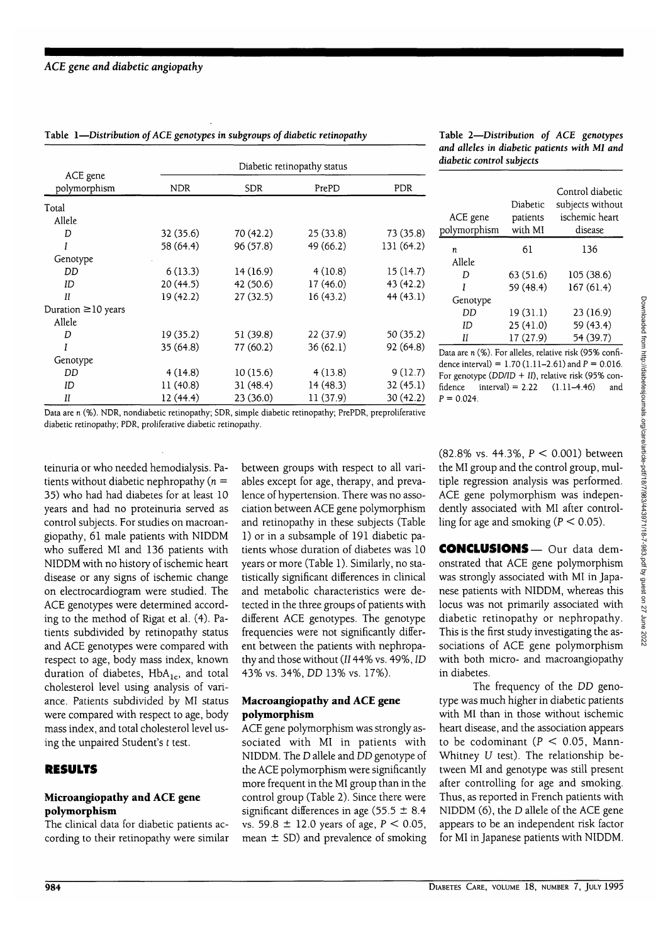| ACE gene<br>polymorphism | Diabetic retinopathy status |            |           |            |
|--------------------------|-----------------------------|------------|-----------|------------|
|                          | NDR.                        | <b>SDR</b> | PrePD     | <b>PDR</b> |
| Total                    |                             |            |           |            |
| Allele                   |                             |            |           |            |
| D                        | 32 (35.6)                   | 70(42.2)   | 25(33.8)  | 73 (35.8)  |
|                          | 58 (64.4)                   | 96 (57.8)  | 49 (66.2) | 131 (64.2) |
| Genotype                 |                             |            |           |            |
| DD                       | 6(13.3)                     | 14(16.9)   | 4(10.8)   | 15 (14.7)  |
| ID                       | 20(44.5)                    | 42 (50.6)  | 17(46.0)  | 43(42.2)   |
| П                        | 19 (42.2)                   | 27(32.5)   | 16(43.2)  | 44(43.1)   |
| Duration $\geq 10$ years |                             |            |           |            |
| Allele                   |                             |            |           |            |
| D                        | 19 (35.2)                   | 51 (39.8)  | 22 (37.9) | 50 (35.2)  |
| Ī                        | 35(64.8)                    | 77 (60.2)  | 36(62.1)  | 92(64.8)   |
| Genotype                 |                             |            |           |            |
| DD                       | 4(14.8)                     | 10(15.6)   | 4(13.8)   | 9(12.7)    |
| ID                       | 11(40.8)                    | 31(48.4)   | 14(48.3)  | 32(45.1)   |
| П                        | 12(44.4)                    | 23(36.0)   | 11 (37.9) | 30(42.2)   |

Table 1—*Distribution of ACE genotypes in subgroups of diabetic retinopathy* Table 2—*Distribution of ACE genotypes and alleies* m *diabetic patients with Ml and diabetic control subjects*

| ACE gene<br>polymorphism | Diabetic<br>patients<br>with MI | Control diabetic<br>subjects without<br>ischemic heart<br>disease |
|--------------------------|---------------------------------|-------------------------------------------------------------------|
| n                        | 61                              | 136                                                               |
| Allele                   |                                 |                                                                   |
| D                        | 63 (51.6)                       | 105(38.6)                                                         |
| Ī                        | 59 (48.4)                       | 167(61.4)                                                         |
| Genotype                 |                                 |                                                                   |
| DD                       | 19 (31.1)                       | 23(16.9)                                                          |
| ID                       | 25 (41.0)                       | 59 (43.4)                                                         |
| Н                        | 17 (27.9)                       | 54 (39.7)                                                         |

Data are n (%). For alleies, relative risk (95% confidence interval) =  $1.70$  (1.11-2.61) and  $P = 0.016$ . For genotype ( $DD/ID + II$ ), relative risk (95% con $fidence$  interval $) = 2.22$  $P = 0.024$ . (1.11-4.46) and

Data are n (%). NDR, nondiabetic retinopathy; SDR, simple diabetic retinopathy; PrePDR, preproliferative diabetic retinopathy; PDR, proliferative diabetic retinopathy.

teinuria or who needed hemodialysis. Patients without diabetic nephropathy ( $n =$ 35) who had had diabetes for at least 10 years and had no proteinuria served as control subjects. For studies on macroangiopathy, 61 male patients with NIDDM who suffered MI and 136 patients with NIDDM with no history of ischemic heart disease or any signs of ischemic change on electrocardiogram were studied. The ACE genotypes were determined according to the method of Rigat et al. (4). Patients subdivided by retinopathy status and ACE genotypes were compared with respect to age, body mass index, known duration of diabetes,  $HbA_{1c}$ , and total cholesterol level using analysis of variance. Patients subdivided by MI status were compared with respect to age, body mass index, and total cholesterol level using the unpaired Student's *t* test.

# **RESULTS**

#### **Microangiopathy and ACE gene polymorphism**

The clinical data for diabetic patients according to their retinopathy were similar between groups with respect to all variables except for age, therapy, and prevalence of hypertension. There was no association between ACE gene polymorphism and retinopathy in these subjects (Table 1) or in a subsample of 191 diabetic patients whose duration of diabetes was 10 years or more (Table 1). Similarly, no statistically significant differences in clinical and metabolic characteristics were detected in the three groups of patients with different ACE genotypes. The genotype frequencies were not significantly different between the patients with nephropathy and those without *(II*44% vs. 49%, *ID* 43% vs. 34%, *DD* 13% vs. 17%).

## **Macroangiopathy and ACE gene polymorphism**

ACE gene polymorphism was strongly associated with MI in patients with NIDDM. The D allele and *DD* genotype of the ACE polymorphism were significantly more frequent in the MI group than in the control group (Table 2). Since there were significant differences in age (55.5  $\pm$  8.4 vs. 59.8  $\pm$  12.0 years of age,  $P < 0.05$ , mean  $\pm$  SD) and prevalence of smoking (82.8% vs. 44.3%, P < 0.001) between the MI group and the control group, multiple regression analysis was performed. ACE gene polymorphism was independently associated with MI after controlling for age and smoking ( $P < 0.05$ ).

**CONCLUSIONS—** Our data demonstrated that ACE gene polymorphism was strongly associated with MI in Japanese patients with NIDDM, whereas this locus was not primarily associated with diabetic retinopathy or nephropathy. This is the first study investigating the associations of ACE gene polymorphism with both micro- and macroangiopathy in diabetes.

The frequency of the *DD* genotype was much higher in diabetic patients with MI than in those without ischemic heart disease, and the association appears to be codominant ( $P < 0.05$ , Mann-Whitney *U* test). The relationship between MI and genotype was still present after controlling for age and smoking. Thus, as reported in French patients with NIDDM (6), the D allele of the ACE gene appears to be an independent risk factor for MI in Japanese patients with NIDDM.